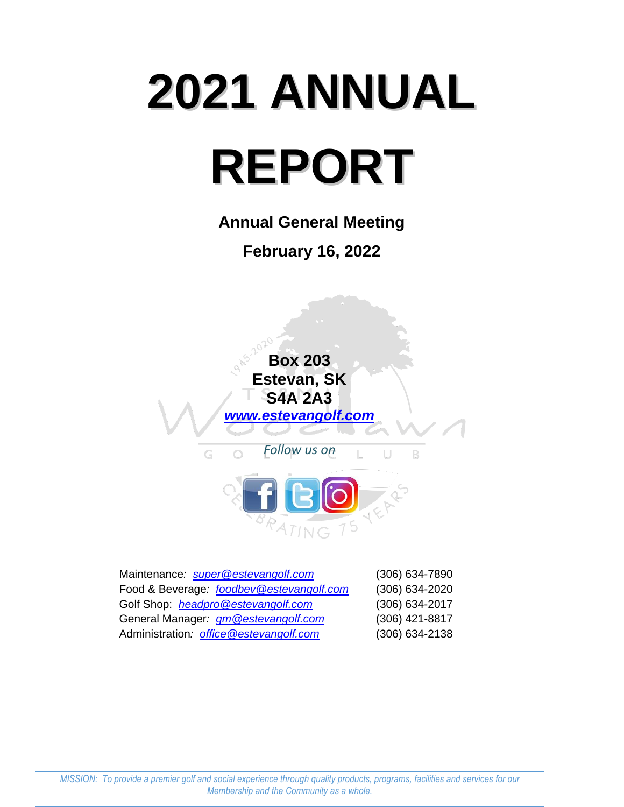# **2021 ANNUAL REPORT**

**Annual General Meeting February 16, 2022**



| Maintenance: super@estevangolf.com       | (306) 634-7890 |
|------------------------------------------|----------------|
| Food & Beverage: foodbey@estevangolf.com | (306) 634-2020 |
| Golf Shop: headpro@estevangolf.com       | (306) 634-2017 |
| General Manager: gm @estevangolf.com     | (306) 421-8817 |
| Administration: office @estevangolf.com  | (306) 634-2138 |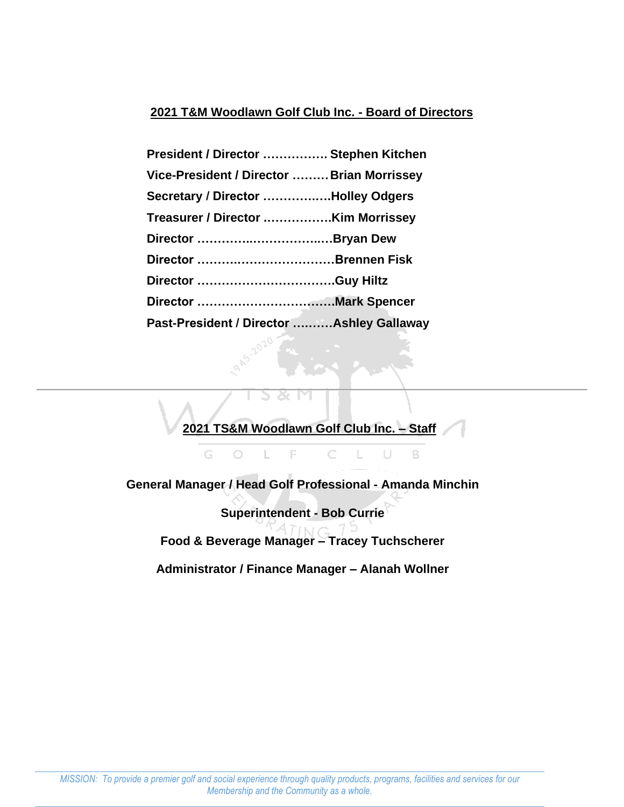# **2021 T&M Woodlawn Golf Club Inc. - Board of Directors**

| President / Director  Stephen Kitchen      |  |
|--------------------------------------------|--|
| Vice-President / Director  Brian Morrissey |  |
| Secretary / Director Holley Odgers         |  |
|                                            |  |
|                                            |  |
| Director Brennen Fisk                      |  |
|                                            |  |
|                                            |  |
| Past-President / Director  Ashley Gallaway |  |

**2021 TS&M Woodlawn Golf Club Inc. – Staff**

C

 $\mathbb{L}$ 

U

 $\mathsf B$ 

**General Manager / Head Golf Professional - Amanda Minchin**

E

L

G

 $\bigcirc$ 

**Superintendent - Bob Currie**

**Food & Beverage Manager – Tracey Tuchscherer**

**Administrator / Finance Manager – Alanah Wollner**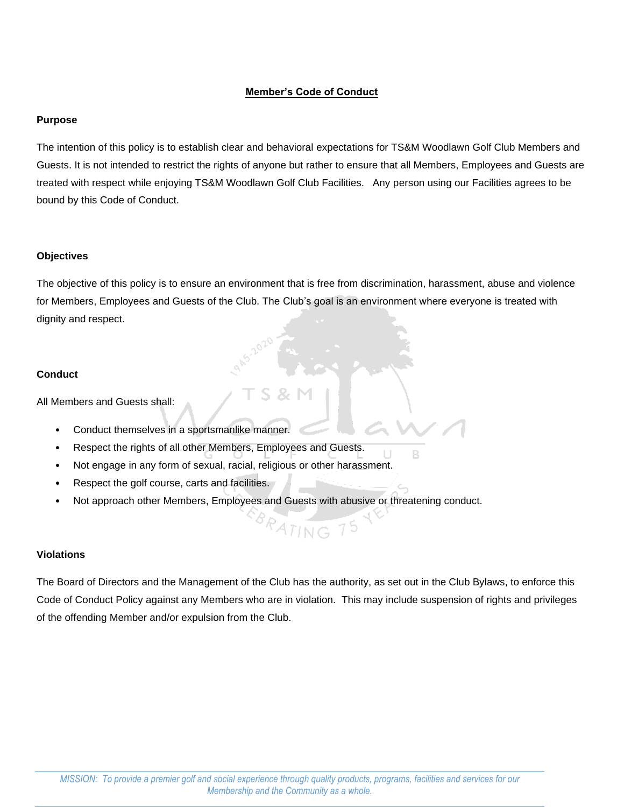## **Member's Code of Conduct**

## **Purpose**

The intention of this policy is to establish clear and behavioral expectations for TS&M Woodlawn Golf Club Members and Guests. It is not intended to restrict the rights of anyone but rather to ensure that all Members, Employees and Guests are treated with respect while enjoying TS&M Woodlawn Golf Club Facilities. Any person using our Facilities agrees to be bound by this Code of Conduct.

## **Objectives**

The objective of this policy is to ensure an environment that is free from discrimination, harassment, abuse and violence for Members, Employees and Guests of the Club. The Club's goal is an environment where everyone is treated with dignity and respect.

## **Conduct**

All Members and Guests shall:

- Conduct themselves in a sportsmanlike manner.
- Respect the rights of all other Members, Employees and Guests.
- Not engage in any form of sexual, racial, religious or other harassment.
- Respect the golf course, carts and facilities.
- Not approach other Members, Employees and Guests with abusive or threatening conduct.

## **Violations**

The Board of Directors and the Management of the Club has the authority, as set out in the Club Bylaws, to enforce this Code of Conduct Policy against any Members who are in violation. This may include suspension of rights and privileges of the offending Member and/or expulsion from the Club.

PATING 75

B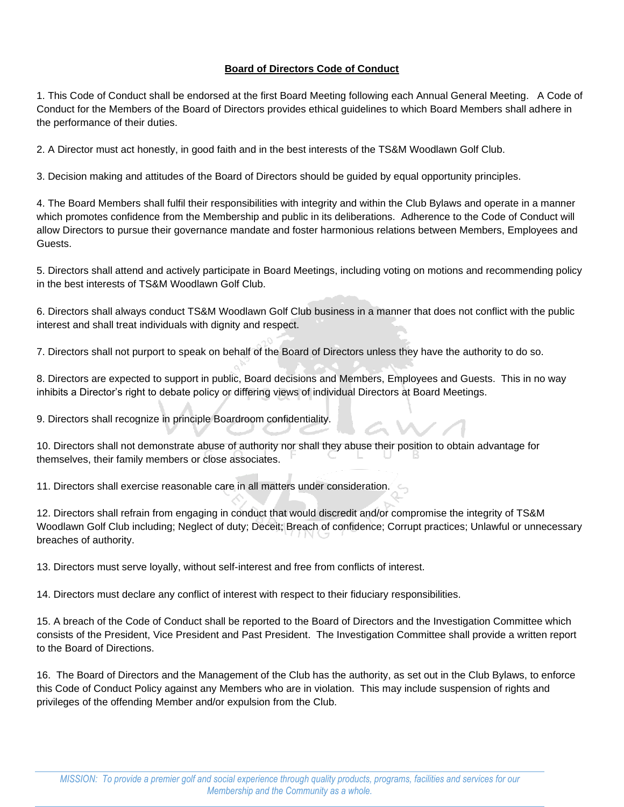## **Board of Directors Code of Conduct**

1. This Code of Conduct shall be endorsed at the first Board Meeting following each Annual General Meeting. A Code of Conduct for the Members of the Board of Directors provides ethical guidelines to which Board Members shall adhere in the performance of their duties.

2. A Director must act honestly, in good faith and in the best interests of the TS&M Woodlawn Golf Club.

3. Decision making and attitudes of the Board of Directors should be guided by equal opportunity principles.

4. The Board Members shall fulfil their responsibilities with integrity and within the Club Bylaws and operate in a manner which promotes confidence from the Membership and public in its deliberations. Adherence to the Code of Conduct will allow Directors to pursue their governance mandate and foster harmonious relations between Members, Employees and Guests.

5. Directors shall attend and actively participate in Board Meetings, including voting on motions and recommending policy in the best interests of TS&M Woodlawn Golf Club.

6. Directors shall always conduct TS&M Woodlawn Golf Club business in a manner that does not conflict with the public interest and shall treat individuals with dignity and respect.

7. Directors shall not purport to speak on behalf of the Board of Directors unless they have the authority to do so.

8. Directors are expected to support in public, Board decisions and Members, Employees and Guests. This in no way inhibits a Director's right to debate policy or differing views of individual Directors at Board Meetings.

9. Directors shall recognize in principle Boardroom confidentiality.

10. Directors shall not demonstrate abuse of authority nor shall they abuse their position to obtain advantage for themselves, their family members or close associates.

11. Directors shall exercise reasonable care in all matters under consideration.

12. Directors shall refrain from engaging in conduct that would discredit and/or compromise the integrity of TS&M Woodlawn Golf Club including; Neglect of duty; Deceit; Breach of confidence; Corrupt practices; Unlawful or unnecessary breaches of authority.

13. Directors must serve loyally, without self-interest and free from conflicts of interest.

14. Directors must declare any conflict of interest with respect to their fiduciary responsibilities.

15. A breach of the Code of Conduct shall be reported to the Board of Directors and the Investigation Committee which consists of the President, Vice President and Past President. The Investigation Committee shall provide a written report to the Board of Directions.

16. The Board of Directors and the Management of the Club has the authority, as set out in the Club Bylaws, to enforce this Code of Conduct Policy against any Members who are in violation. This may include suspension of rights and privileges of the offending Member and/or expulsion from the Club.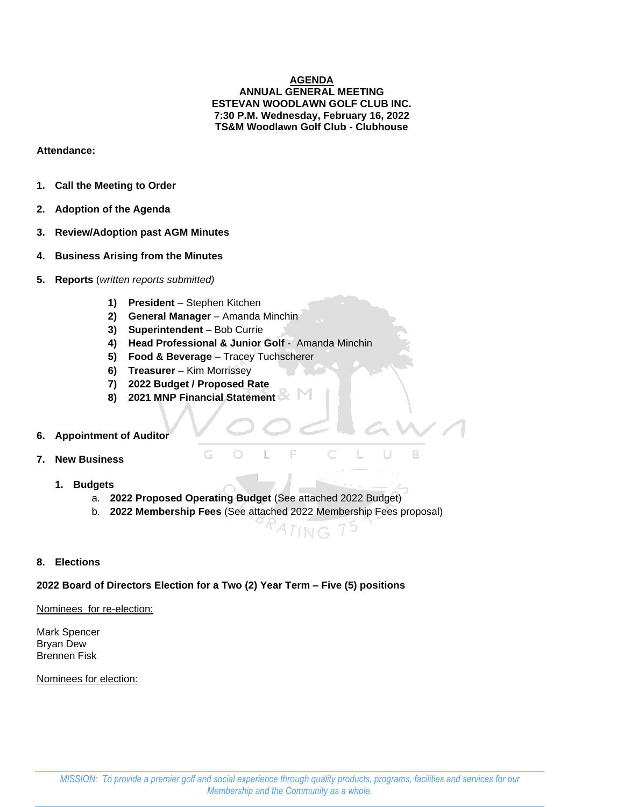## **AGENDA ANNUAL GENERAL MEETING ESTEVAN WOODLAWN GOLF CLUB INC. 7:30 P.M. Wednesday, February 16, 2022 TS&M Woodlawn Golf Club - Clubhouse**

## **Attendance:**

- **1. Call the Meeting to Order**
- **2. Adoption of the Agenda**
- **3. Review/Adoption past AGM Minutes**
- **4. Business Arising from the Minutes**
- **5. Reports** (*written reports submitted)*
	- **1) President** Stephen Kitchen
	- **2) General Manager** Amanda Minchin
	- **3) Superintendent** Bob Currie
	- **4) Head Professional & Junior Golf**  Amanda Minchin
	- **5) Food & Beverage** Tracey Tuchscherer
	- **6) Treasurer** Kim Morrissey
	- **7) 2022 Budget / Proposed Rate**
	- **8) 2021 MNP Financial Statement**

## **6. Appointment of Auditor**

- **7. New Business**
	- **1. Budgets**
		- a. **2022 Proposed Operating Budget** (See attached 2022 Budget)

 $\bigcirc$ 

b. **2022 Membership Fees** (See attached 2022 Membership Fees proposal)

E

 $ATING$ 

 $\subset$ 

 $\begin{array}{c} \square \end{array}$ 

B

## **8. Elections**

## **2022 Board of Directors Election for a Two (2) Year Term – Five (5) positions**

Nominees for re-election:

Mark Spencer Bryan Dew Brennen Fisk

Nominees for election: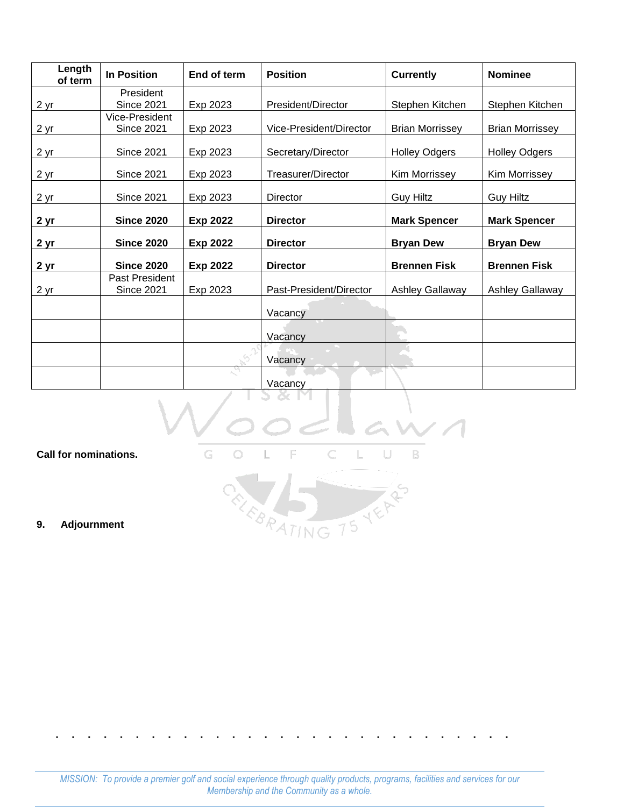| Length<br>of term | <b>In Position</b> | End of term     | <b>Position</b>           | <b>Currently</b>       | <b>Nominee</b>         |
|-------------------|--------------------|-----------------|---------------------------|------------------------|------------------------|
|                   | President          |                 |                           |                        |                        |
| <u>2 yr</u>       | <b>Since 2021</b>  | Exp 2023        | President/Director        | Stephen Kitchen        | Stephen Kitchen        |
|                   | Vice-President     |                 |                           |                        |                        |
| <u>2 yr</u>       | <b>Since 2021</b>  | Exp 2023        | Vice-President/Director   | <b>Brian Morrissey</b> | <b>Brian Morrissey</b> |
| <u>2 yr</u>       | <b>Since 2021</b>  | Exp 2023        | Secretary/Director        | <b>Holley Odgers</b>   | <b>Holley Odgers</b>   |
| 2 yr              | <b>Since 2021</b>  | Exp 2023        | <b>Treasurer/Director</b> | Kim Morrissey          | Kim Morrissey          |
| 2 <sub>yr</sub>   | <b>Since 2021</b>  | Exp 2023        | Director                  | <b>Guy Hiltz</b>       | <b>Guy Hiltz</b>       |
| 2 yr              | <b>Since 2020</b>  | <b>Exp 2022</b> | <b>Director</b>           | <b>Mark Spencer</b>    | <b>Mark Spencer</b>    |
| <u>2 yr</u>       | <b>Since 2020</b>  | <b>Exp 2022</b> | <b>Director</b>           | <b>Bryan Dew</b>       | <b>Bryan Dew</b>       |
| <u>2 yr</u>       | <b>Since 2020</b>  | <b>Exp 2022</b> | <b>Director</b>           | <b>Brennen Fisk</b>    | <b>Brennen Fisk</b>    |
|                   | Past President     |                 |                           |                        |                        |
| 2 <sub>yr</sub>   | <b>Since 2021</b>  | Exp 2023        | Past-President/Director   | <b>Ashley Gallaway</b> | <b>Ashley Gallaway</b> |
|                   |                    |                 | Vacancy                   |                        |                        |
|                   |                    |                 | Vacancy                   |                        |                        |
|                   |                    |                 | Vacancy                   |                        |                        |
|                   |                    |                 | Vacancy                   |                        |                        |

S  $\alpha$  $\mathbb{M}$ 

**Call for nominations.**

 $\overline{\mathbb{L}}$ G  $\subset$ L U B -F  $\bigcirc$ 

CELEBRATING 75 YEARS

**9. Adjournment**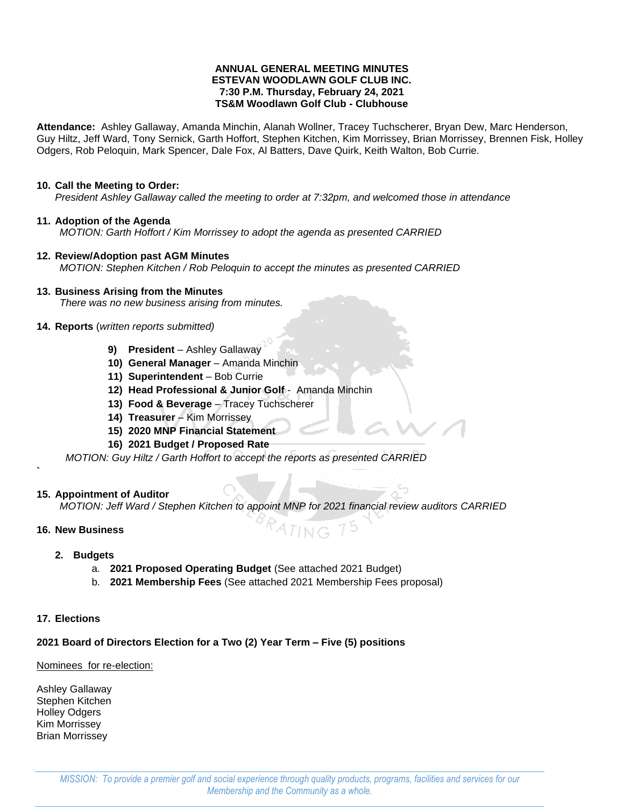## **ANNUAL GENERAL MEETING MINUTES ESTEVAN WOODLAWN GOLF CLUB INC. 7:30 P.M. Thursday, February 24, 2021 TS&M Woodlawn Golf Club - Clubhouse**

**Attendance:** Ashley Gallaway, Amanda Minchin, Alanah Wollner, Tracey Tuchscherer, Bryan Dew, Marc Henderson, Guy Hiltz, Jeff Ward, Tony Sernick, Garth Hoffort, Stephen Kitchen, Kim Morrissey, Brian Morrissey, Brennen Fisk, Holley Odgers, Rob Peloquin, Mark Spencer, Dale Fox, Al Batters, Dave Quirk, Keith Walton, Bob Currie.

## **10. Call the Meeting to Order:**

*President Ashley Gallaway called the meeting to order at 7:32pm, and welcomed those in attendance*

## **11. Adoption of the Agenda**

*MOTION: Garth Hoffort / Kim Morrissey to adopt the agenda as presented CARRIED*

## **12. Review/Adoption past AGM Minutes**

*MOTION: Stephen Kitchen / Rob Peloquin to accept the minutes as presented CARRIED*

## **13. Business Arising from the Minutes**

*There was no new business arising from minutes.*

## **14. Reports** (*written reports submitted)*

- **9) President** Ashley Gallaway
- **10) General Manager** Amanda Minchin
- **11) Superintendent** Bob Currie
- **12) Head Professional & Junior Golf**  Amanda Minchin
- **13) Food & Beverage** Tracey Tuchscherer
- **14) Treasurer** Kim Morrissey
- **15) 2020 MNP Financial Statement**
- **16) 2021 Budget / Proposed Rate**

*MOTION: Guy Hiltz / Garth Hoffort to accept the reports as presented CARRIED*

## **15. Appointment of Auditor**

*MOTION: Jeff Ward / Stephen Kitchen to appoint MNP for 2021 financial review auditors CARRIED*

ING

## **16. New Business**

**`**

- **2. Budgets**
	- a. **2021 Proposed Operating Budget** (See attached 2021 Budget)
	- b. **2021 Membership Fees** (See attached 2021 Membership Fees proposal)

## **17. Elections**

# **2021 Board of Directors Election for a Two (2) Year Term – Five (5) positions**

# Nominees for re-election:

Ashley Gallaway Stephen Kitchen Holley Odgers Kim Morrissey Brian Morrissey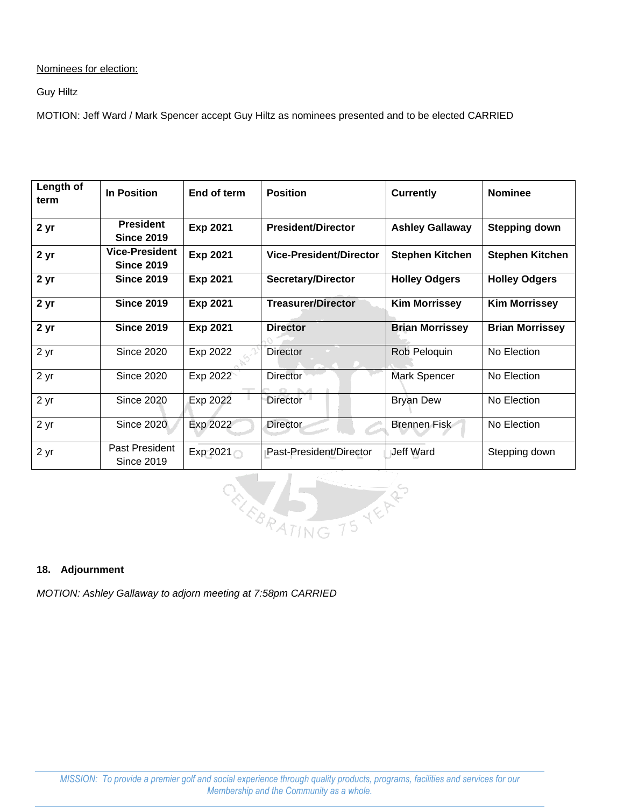Nominees for election:

Guy Hiltz

MOTION: Jeff Ward / Mark Spencer accept Guy Hiltz as nominees presented and to be elected CARRIED

| Length of<br>term | <b>In Position</b>                         | End of term        | <b>Position</b>                | <b>Currently</b>       | <b>Nominee</b>         |  |  |
|-------------------|--------------------------------------------|--------------------|--------------------------------|------------------------|------------------------|--|--|
| 2 yr              | <b>President</b><br><b>Since 2019</b>      | <b>Exp 2021</b>    | <b>President/Director</b>      | <b>Ashley Gallaway</b> | <b>Stepping down</b>   |  |  |
| 2 yr              | <b>Vice-President</b><br><b>Since 2019</b> | <b>Exp 2021</b>    | <b>Vice-President/Director</b> | <b>Stephen Kitchen</b> | <b>Stephen Kitchen</b> |  |  |
| 2 yr              | <b>Since 2019</b>                          | <b>Exp 2021</b>    | <b>Secretary/Director</b>      | <b>Holley Odgers</b>   | <b>Holley Odgers</b>   |  |  |
| 2 yr              | <b>Since 2019</b>                          | <b>Exp 2021</b>    | <b>Treasurer/Director</b>      | <b>Kim Morrissey</b>   | <b>Kim Morrissey</b>   |  |  |
| 2 yr              | <b>Since 2019</b>                          | <b>Exp 2021</b>    | <b>Director</b>                | <b>Brian Morrissey</b> | <b>Brian Morrissey</b> |  |  |
| 2 yr              | <b>Since 2020</b>                          | Exp 2022           | <b>Director</b>                | Rob Peloquin           | No Election            |  |  |
| 2 yr              | <b>Since 2020</b>                          | Exp 2022           | <b>Director</b>                | Mark Spencer           | No Election            |  |  |
| 2 yr              | <b>Since 2020</b>                          | Exp 2022           | Director                       | <b>Bryan Dew</b>       | No Election            |  |  |
| 2 yr              | <b>Since 2020</b>                          | Exp 2022           | Director                       | <b>Brennen Fisk</b>    | No Election            |  |  |
| 2 yr              | Past President<br>Since 2019               | Exp 2021 $\bigcap$ | Past-President/Director        | Jeff Ward              | Stepping down          |  |  |



## **18. Adjournment**

*MOTION: Ashley Gallaway to adjorn meeting at 7:58pm CARRIED*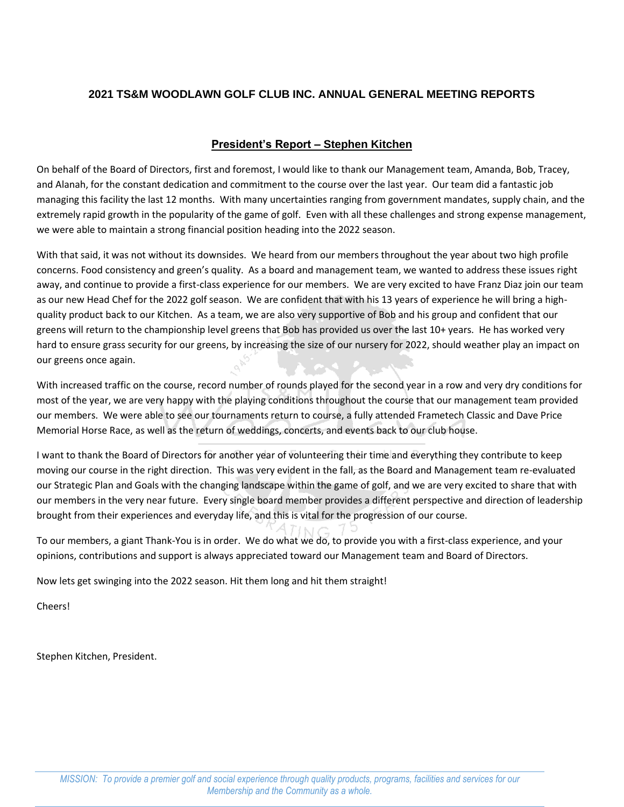# **2021 TS&M WOODLAWN GOLF CLUB INC. ANNUAL GENERAL MEETING REPORTS**

# **President's Report – Stephen Kitchen**

On behalf of the Board of Directors, first and foremost, I would like to thank our Management team, Amanda, Bob, Tracey, and Alanah, for the constant dedication and commitment to the course over the last year. Our team did a fantastic job managing this facility the last 12 months. With many uncertainties ranging from government mandates, supply chain, and the extremely rapid growth in the popularity of the game of golf. Even with all these challenges and strong expense management, we were able to maintain a strong financial position heading into the 2022 season.

With that said, it was not without its downsides. We heard from our members throughout the year about two high profile concerns. Food consistency and green's quality. As a board and management team, we wanted to address these issues right away, and continue to provide a first-class experience for our members. We are very excited to have Franz Diaz join our team as our new Head Chef for the 2022 golf season. We are confident that with his 13 years of experience he will bring a highquality product back to our Kitchen. As a team, we are also very supportive of Bob and his group and confident that our greens will return to the championship level greens that Bob has provided us over the last 10+ years. He has worked very hard to ensure grass security for our greens, by increasing the size of our nursery for 2022, should weather play an impact on our greens once again.

With increased traffic on the course, record number of rounds played for the second year in a row and very dry conditions for most of the year, we are very happy with the playing conditions throughout the course that our management team provided our members. We were able to see our tournaments return to course, a fully attended Frametech Classic and Dave Price Memorial Horse Race, as well as the return of weddings, concerts, and events back to our club house.

I want to thank the Board of Directors for another year of volunteering their time and everything they contribute to keep moving our course in the right direction. This was very evident in the fall, as the Board and Management team re-evaluated our Strategic Plan and Goals with the changing landscape within the game of golf, and we are very excited to share that with our members in the very near future. Every single board member provides a different perspective and direction of leadership brought from their experiences and everyday life, and this is vital for the progression of our course.

To our members, a giant Thank-You is in order. We do what we do, to provide you with a first-class experience, and your opinions, contributions and support is always appreciated toward our Management team and Board of Directors.

Now lets get swinging into the 2022 season. Hit them long and hit them straight!

Cheers!

Stephen Kitchen, President.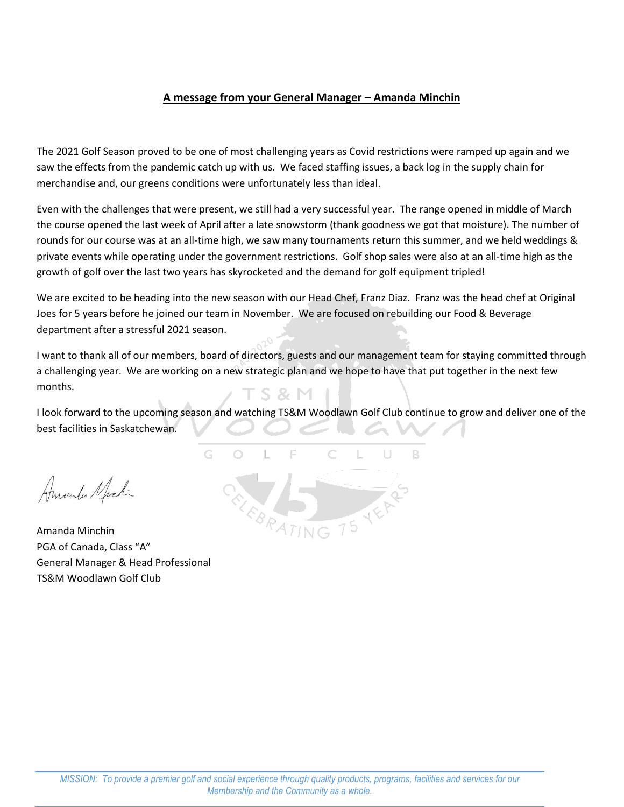# **A message from your General Manager – Amanda Minchin**

The 2021 Golf Season proved to be one of most challenging years as Covid restrictions were ramped up again and we saw the effects from the pandemic catch up with us. We faced staffing issues, a back log in the supply chain for merchandise and, our greens conditions were unfortunately less than ideal.

Even with the challenges that were present, we still had a very successful year. The range opened in middle of March the course opened the last week of April after a late snowstorm (thank goodness we got that moisture). The number of rounds for our course was at an all-time high, we saw many tournaments return this summer, and we held weddings & private events while operating under the government restrictions. Golf shop sales were also at an all-time high as the growth of golf over the last two years has skyrocketed and the demand for golf equipment tripled!

We are excited to be heading into the new season with our Head Chef, Franz Diaz. Franz was the head chef at Original Joes for 5 years before he joined our team in November. We are focused on rebuilding our Food & Beverage department after a stressful 2021 season.

I want to thank all of our members, board of directors, guests and our management team for staying committed through a challenging year. We are working on a new strategic plan and we hope to have that put together in the next few months. S & M

I look forward to the upcoming season and watching TS&M Woodlawn Golf Club continue to grow and deliver one of the best facilities in Saskatchewan.

R.

G  $\bigcirc$ Amonda Nichi

Amanda Minchin PGA of Canada, Class "A" General Manager & Head Professional TS&M Woodlawn Golf Club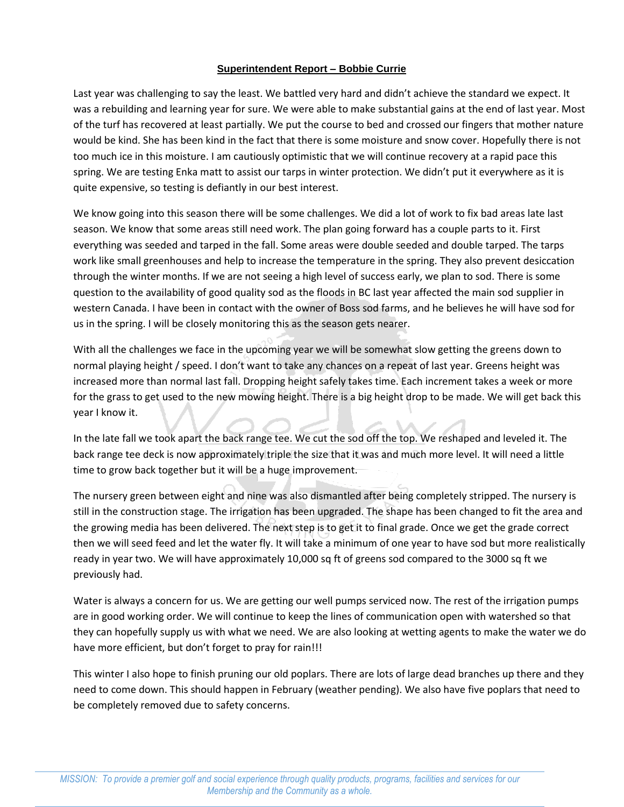## **Superintendent Report – Bobbie Currie**

Last year was challenging to say the least. We battled very hard and didn't achieve the standard we expect. It was a rebuilding and learning year for sure. We were able to make substantial gains at the end of last year. Most of the turf has recovered at least partially. We put the course to bed and crossed our fingers that mother nature would be kind. She has been kind in the fact that there is some moisture and snow cover. Hopefully there is not too much ice in this moisture. I am cautiously optimistic that we will continue recovery at a rapid pace this spring. We are testing Enka matt to assist our tarps in winter protection. We didn't put it everywhere as it is quite expensive, so testing is defiantly in our best interest.

We know going into this season there will be some challenges. We did a lot of work to fix bad areas late last season. We know that some areas still need work. The plan going forward has a couple parts to it. First everything was seeded and tarped in the fall. Some areas were double seeded and double tarped. The tarps work like small greenhouses and help to increase the temperature in the spring. They also prevent desiccation through the winter months. If we are not seeing a high level of success early, we plan to sod. There is some question to the availability of good quality sod as the floods in BC last year affected the main sod supplier in western Canada. I have been in contact with the owner of Boss sod farms, and he believes he will have sod for us in the spring. I will be closely monitoring this as the season gets nearer.

With all the challenges we face in the upcoming year we will be somewhat slow getting the greens down to normal playing height / speed. I don't want to take any chances on a repeat of last year. Greens height was increased more than normal last fall. Dropping height safely takes time. Each increment takes a week or more for the grass to get used to the new mowing height. There is a big height drop to be made. We will get back this year I know it.

In the late fall we took apart the back range tee. We cut the sod off the top. We reshaped and leveled it. The back range tee deck is now approximately triple the size that it was and much more level. It will need a little time to grow back together but it will be a huge improvement.

The nursery green between eight and nine was also dismantled after being completely stripped. The nursery is still in the construction stage. The irrigation has been upgraded. The shape has been changed to fit the area and the growing media has been delivered. The next step is to get it to final grade. Once we get the grade correct then we will seed feed and let the water fly. It will take a minimum of one year to have sod but more realistically ready in year two. We will have approximately 10,000 sq ft of greens sod compared to the 3000 sq ft we previously had.

Water is always a concern for us. We are getting our well pumps serviced now. The rest of the irrigation pumps are in good working order. We will continue to keep the lines of communication open with watershed so that they can hopefully supply us with what we need. We are also looking at wetting agents to make the water we do have more efficient, but don't forget to pray for rain!!!

This winter I also hope to finish pruning our old poplars. There are lots of large dead branches up there and they need to come down. This should happen in February (weather pending). We also have five poplars that need to be completely removed due to safety concerns.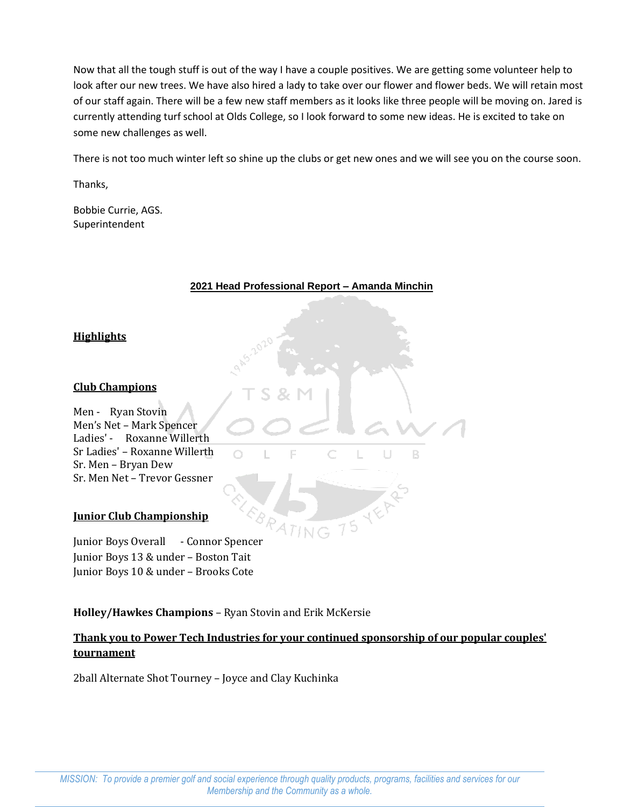Now that all the tough stuff is out of the way I have a couple positives. We are getting some volunteer help to look after our new trees. We have also hired a lady to take over our flower and flower beds. We will retain most of our staff again. There will be a few new staff members as it looks like three people will be moving on. Jared is currently attending turf school at Olds College, so I look forward to some new ideas. He is excited to take on some new challenges as well.

There is not too much winter left so shine up the clubs or get new ones and we will see you on the course soon.

Thanks,

Bobbie Currie, AGS. Superintendent

## **2021 Head Professional Report – Amanda Minchin**

 $\begin{array}{c} \square \end{array}$ 

**B** 

# **Highlights**

## **Club Champions**

Men - Ryan Stovin Men's Net – Mark Spencer Ladies' - Roxanne Willerth Sr Ladies' – Roxanne Willerth Sr. Men – Bryan Dew Sr. Men Net – Trevor Gessner

## **Junior Club Championship**

Junior Boys Overall - Connor Spencer Junior Boys 13 & under – Boston Tait Junior Boys 10 & under – Brooks Cote

# **Holley/Hawkes Champions** – Ryan Stovin and Erik McKersie

 $\cap$ 

# **Thank you to Power Tech Industries for your continued sponsorship of our popular couples' tournament**

2ball Alternate Shot Tourney – Joyce and Clay Kuchinka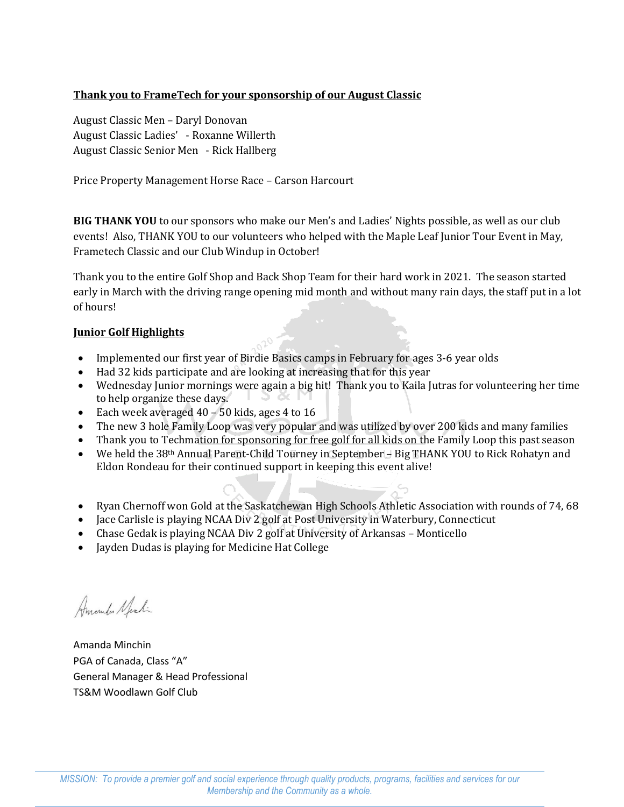# **Thank you to FrameTech for your sponsorship of our August Classic**

August Classic Men – Daryl Donovan August Classic Ladies' - Roxanne Willerth August Classic Senior Men - Rick Hallberg

Price Property Management Horse Race – Carson Harcourt

**BIG THANK YOU** to our sponsors who make our Men's and Ladies' Nights possible, as well as our club events! Also, THANK YOU to our volunteers who helped with the Maple Leaf Junior Tour Event in May, Frametech Classic and our Club Windup in October!

Thank you to the entire Golf Shop and Back Shop Team for their hard work in 2021. The season started early in March with the driving range opening mid month and without many rain days, the staff put in a lot of hours!

# **Junior Golf Highlights**

- Implemented our first year of Birdie Basics camps in February for ages 3-6 year olds
- Had 32 kids participate and are looking at increasing that for this year
- Wednesday Junior mornings were again a big hit! Thank you to Kaila Jutras for volunteering her time to help organize these days.
- Each week averaged 40 50 kids, ages 4 to 16
- The new 3 hole Family Loop was very popular and was utilized by over 200 kids and many families
- Thank you to Techmation for sponsoring for free golf for all kids on the Family Loop this past season
- We held the 38<sup>th</sup> Annual Parent-Child Tourney in September 4 Big THANK YOU to Rick Rohatyn and Eldon Rondeau for their continued support in keeping this event alive!
- Ryan Chernoff won Gold at the Saskatchewan High Schools Athletic Association with rounds of 74, 68
- Jace Carlisle is playing NCAA Div 2 golf at Post University in Waterbury, Connecticut
- Chase Gedak is playing NCAA Div 2 golf at University of Arkansas Monticello
- Jayden Dudas is playing for Medicine Hat College

Amander Nechi

Amanda Minchin PGA of Canada, Class "A" General Manager & Head Professional TS&M Woodlawn Golf Club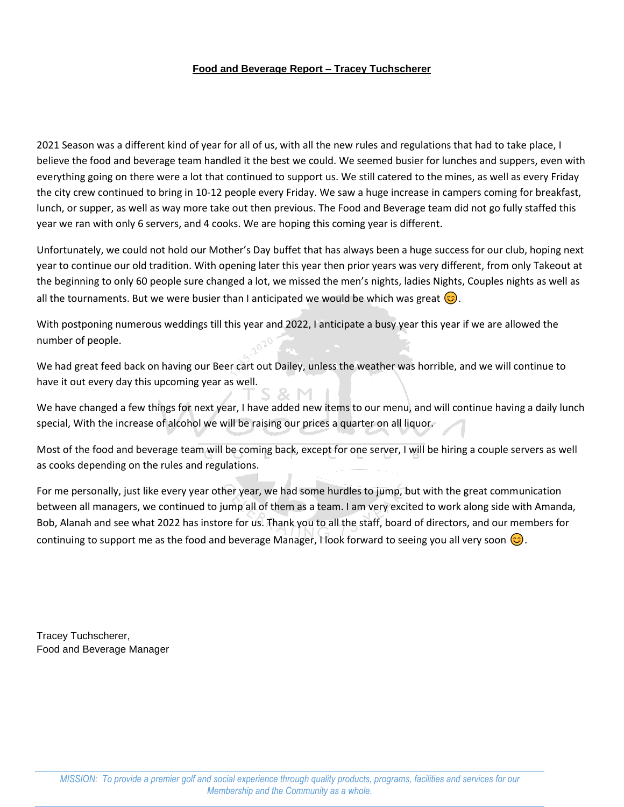## **Food and Beverage Report – Tracey Tuchscherer**

2021 Season was a different kind of year for all of us, with all the new rules and regulations that had to take place, I believe the food and beverage team handled it the best we could. We seemed busier for lunches and suppers, even with everything going on there were a lot that continued to support us. We still catered to the mines, as well as every Friday the city crew continued to bring in 10-12 people every Friday. We saw a huge increase in campers coming for breakfast, lunch, or supper, as well as way more take out then previous. The Food and Beverage team did not go fully staffed this year we ran with only 6 servers, and 4 cooks. We are hoping this coming year is different.

Unfortunately, we could not hold our Mother's Day buffet that has always been a huge success for our club, hoping next year to continue our old tradition. With opening later this year then prior years was very different, from only Takeout at the beginning to only 60 people sure changed a lot, we missed the men's nights, ladies Nights, Couples nights as well as all the tournaments. But we were busier than I anticipated we would be which was great  $\circled{c}$ .

With postponing numerous weddings till this year and 2022, I anticipate a busy year this year if we are allowed the number of people.

We had great feed back on having our Beer cart out Dailey, unless the weather was horrible, and we will continue to have it out every day this upcoming year as well.

We have changed a few things for next year, I have added new items to our menu, and will continue having a daily lunch special, With the increase of alcohol we will be raising our prices a quarter on all liquor.

Most of the food and beverage team will be coming back, except for one server, I will be hiring a couple servers as well as cooks depending on the rules and regulations.

For me personally, just like every year other year, we had some hurdles to jump, but with the great communication between all managers, we continued to jump all of them as a team. I am very excited to work along side with Amanda, Bob, Alanah and see what 2022 has instore for us. Thank you to all the staff, board of directors, and our members for continuing to support me as the food and beverage Manager, I look forward to seeing you all very soon  $\circ$ .

Tracey Tuchscherer, Food and Beverage Manager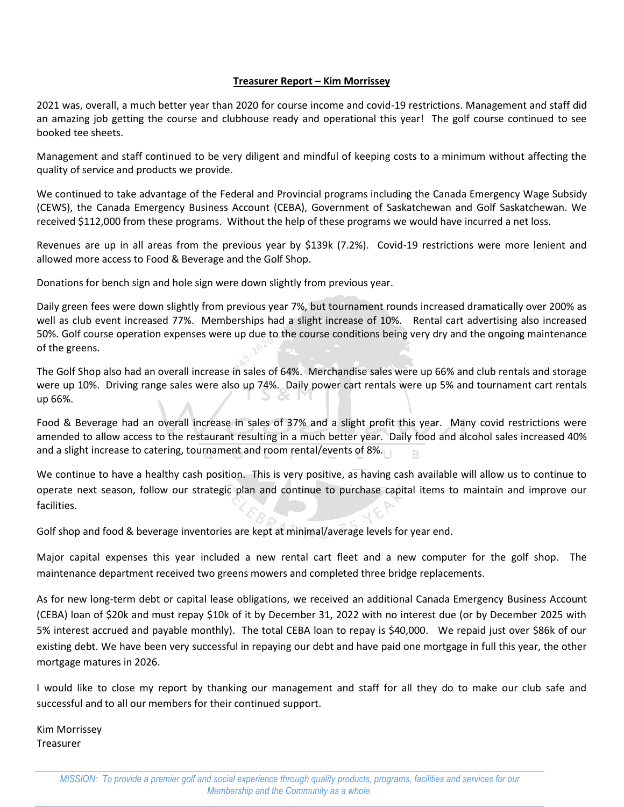## **Treasurer Report – Kim Morrissey**

2021 was, overall, a much better year than 2020 for course income and covid-19 restrictions. Management and staff did an amazing job getting the course and clubhouse ready and operational this year! The golf course continued to see booked tee sheets.

Management and staff continued to be very diligent and mindful of keeping costs to a minimum without affecting the quality of service and products we provide.

We continued to take advantage of the Federal and Provincial programs including the Canada Emergency Wage Subsidy (CEWS), the Canada Emergency Business Account (CEBA), Government of Saskatchewan and Golf Saskatchewan. We received \$112,000 from these programs. Without the help of these programs we would have incurred a net loss.

Revenues are up in all areas from the previous year by \$139k (7.2%). Covid-19 restrictions were more lenient and allowed more access to Food & Beverage and the Golf Shop.

Donations for bench sign and hole sign were down slightly from previous year.

Daily green fees were down slightly from previous year 7%, but tournament rounds increased dramatically over 200% as well as club event increased 77%. Memberships had a slight increase of 10%. Rental cart advertising also increased 50%. Golf course operation expenses were up due to the course conditions being very dry and the ongoing maintenance of the greens.

The Golf Shop also had an overall increase in sales of 64%. Merchandise sales were up 66% and club rentals and storage were up 10%. Driving range sales were also up 74%. Daily power cart rentals were up 5% and tournament cart rentals up 66%.

Food & Beverage had an overall increase in sales of 37% and a slight profit this year. Many covid restrictions were amended to allow access to the restaurant resulting in a much better year. Daily food and alcohol sales increased 40% and a slight increase to catering, tournament and room rental/events of 8%.

We continue to have a healthy cash position. This is very positive, as having cash available will allow us to continue to operate next season, follow our strategic plan and continue to purchase capital items to maintain and improve our facilities.

Golf shop and food & beverage inventories are kept at minimal/average levels for year end.

Major capital expenses this year included a new rental cart fleet and a new computer for the golf shop. The maintenance department received two greens mowers and completed three bridge replacements.

As for new long-term debt or capital lease obligations, we received an additional Canada Emergency Business Account (CEBA) loan of \$20k and must repay \$10k of it by December 31, 2022 with no interest due (or by December 2025 with 5% interest accrued and payable monthly). The total CEBA loan to repay is \$40,000. We repaid just over \$86k of our existing debt. We have been very successful in repaying our debt and have paid one mortgage in full this year, the other mortgage matures in 2026.

I would like to close my report by thanking our management and staff for all they do to make our club safe and successful and to all our members for their continued support.

Kim Morrissey Treasurer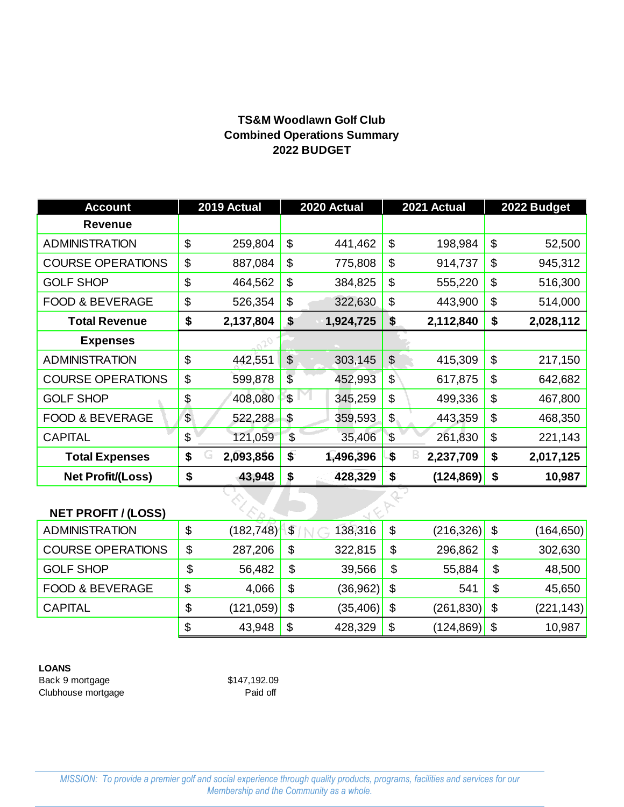# **2022 BUDGET Combined Operations Summary TS&M Woodlawn Golf Club**

| <b>Account</b>             | 2019 Actual     |                           | 2020 Actual |                       | 2021 Actual | 2022 Budget     |
|----------------------------|-----------------|---------------------------|-------------|-----------------------|-------------|-----------------|
| <b>Revenue</b>             |                 |                           |             |                       |             |                 |
| <b>ADMINISTRATION</b>      | \$<br>259,804   | \$                        | 441,462     | \$                    | 198,984     | \$<br>52,500    |
| <b>COURSE OPERATIONS</b>   | \$<br>887,084   | \$                        | 775,808     | \$                    | 914,737     | \$<br>945,312   |
| <b>GOLF SHOP</b>           | \$<br>464,562   | \$                        | 384,825     | \$                    | 555,220     | \$<br>516,300   |
| <b>FOOD &amp; BEVERAGE</b> | \$<br>526,354   | \$                        | 322,630     | \$                    | 443,900     | \$<br>514,000   |
| <b>Total Revenue</b>       | \$<br>2,137,804 | \$                        | 1,924,725   | \$                    | 2,112,840   | \$<br>2,028,112 |
| <b>Expenses</b>            |                 |                           |             |                       |             |                 |
| <b>ADMINISTRATION</b>      | \$<br>442,551   | $\boldsymbol{\theta}$     | 303,145     | $\boldsymbol{\theta}$ | 415,309     | \$<br>217,150   |
| <b>COURSE OPERATIONS</b>   | \$<br>599,878   | $\frac{1}{2}$             | 452,993     | $\frac{1}{2}$         | 617,875     | \$<br>642,682   |
| <b>GOLF SHOP</b>           | \$<br>408,080   | \$                        | 345,259     | \$                    | 499,336     | \$<br>467,800   |
| <b>FOOD &amp; BEVERAGE</b> | \$<br>522,288   | $\boldsymbol{\mathsf{S}}$ | 359,593     | \$                    | 443,359     | \$<br>468,350   |
| <b>CAPITAL</b>             | \$<br>121,059   | $\sqrt[6]{\frac{1}{2}}$   | 35,406      | $\sqrt{3}$            | 261,830     | \$<br>221,143   |
| <b>Total Expenses</b>      | \$<br>2,093,856 | \$                        | 1,496,396   | \$                    | 2,237,709   | \$<br>2,017,125 |
| <b>Net Profit/(Loss)</b>   | \$<br>43,948    | \$                        | 428,329     | \$                    | (124, 869)  | \$<br>10,987    |
|                            |                 |                           |             |                       |             |                 |
| <b>NET PROFIT / (LOSS)</b> |                 |                           |             |                       |             |                 |

# **NET PROFIT / (LOSS)**

| <b>ADMINISTRATION</b>      | \$<br>(182, 748) | $\boldsymbol{\mathsf{\$}}$ | 138,316   | \$<br>(216, 326) | \$<br>(164,650)  |
|----------------------------|------------------|----------------------------|-----------|------------------|------------------|
| <b>COURSE OPERATIONS</b>   | \$<br>287,206    | \$                         | 322,815   | \$<br>296,862    | \$<br>302,630    |
| <b>GOLF SHOP</b>           | \$<br>56,482     | \$                         | 39,566    | \$<br>55,884     | \$<br>48,500     |
| <b>FOOD &amp; BEVERAGE</b> | \$<br>4,066      | \$                         | (36,962)  | \$<br>541        | \$<br>45,650     |
| <b>CAPITAL</b>             | \$<br>(121,059)  | \$                         | (35, 406) | \$<br>(261, 830) | \$<br>(221, 143) |
|                            | \$<br>43,948     | \$                         | 428,329   | \$<br>(124, 869) | \$<br>10,987     |

# **LOANS**

Back 9 mortgage \$147,192.09 Clubhouse mortgage **Paid off**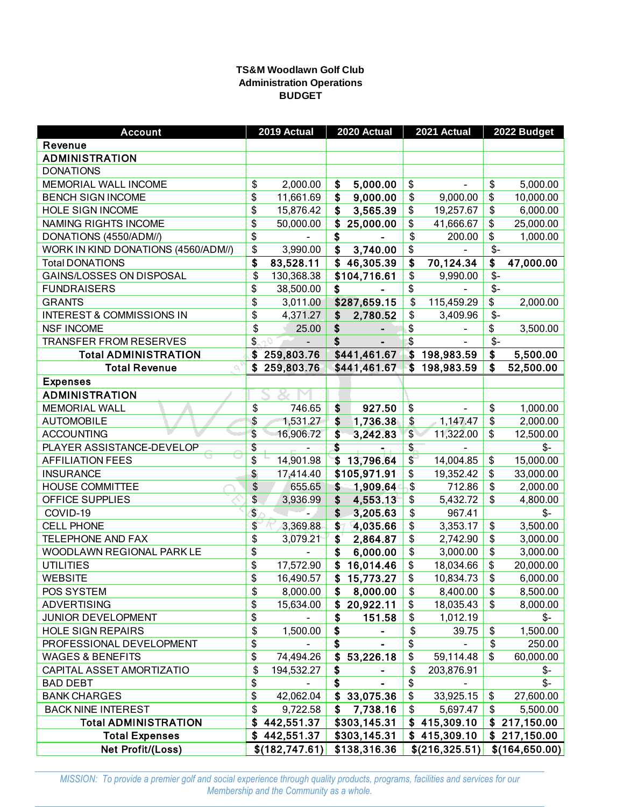## **TS&M Woodlawn Golf Club Administration Operations BUDGET**

| <b>Account</b>                      | 2019 Actual          | 2020 Actual     |              | 2021 Actual     |      | 2022 Budget     |
|-------------------------------------|----------------------|-----------------|--------------|-----------------|------|-----------------|
| Revenue                             |                      |                 |              |                 |      |                 |
| <b>ADMINISTRATION</b>               |                      |                 |              |                 |      |                 |
| <b>DONATIONS</b>                    |                      |                 |              |                 |      |                 |
| MEMORIAL WALL INCOME                | \$<br>2,000.00       | \$<br>5,000.00  | \$           |                 | \$   | 5,000.00        |
| <b>BENCH SIGN INCOME</b>            | \$<br>11,661.69      | \$<br>9,000.00  | \$           | 9,000.00        | \$   | 10,000.00       |
| <b>HOLE SIGN INCOME</b>             | \$<br>15,876.42      | \$<br>3,565.39  | \$           | 19,257.67       | \$   | 6,000.00        |
| NAMING RIGHTS INCOME                | \$<br>50,000.00      | \$<br>25,000.00 | \$           | 41,666.67       | \$   | 25,000.00       |
| DONATIONS (4550/ADM/)               | \$                   | \$              | \$           | 200.00          | \$   | 1,000.00        |
| WORK IN KIND DONATIONS (4560/ADM//) | \$<br>3,990.00       | \$<br>3,740.00  | \$           |                 | $$-$ |                 |
| <b>Total DONATIONS</b>              | \$<br>83,528.11      | \$<br>46,305.39 | \$           | 70,124.34       | \$   | 47,000.00       |
| GAINS/LOSSES ON DISPOSAL            | \$<br>130,368.38     | \$104,716.61    | \$           | 9,990.00        | $$-$ |                 |
| <b>FUNDRAISERS</b>                  | \$<br>38,500.00      | \$              | \$           |                 | $$-$ |                 |
| <b>GRANTS</b>                       | \$<br>3,011.00       | \$287,659.15    | \$           | 115,459.29      | \$   | 2,000.00        |
| INTEREST & COMMISSIONS IN           | \$<br>4,371.27       | \$<br>2,780.52  | \$           | 3,409.96        | $$-$ |                 |
| <b>NSF INCOME</b>                   | \$<br>25.00          | \$              | \$           |                 | \$   | 3,500.00        |
| <b>TRANSFER FROM RESERVES</b>       | \$                   | \$              | \$           |                 | $$-$ |                 |
| <b>Total ADMINISTRATION</b>         | \$259,803.76         | \$441,461.67    |              | \$198,983.59    | \$   | 5,500.00        |
| <b>Total Revenue</b>                | \$259,803.76         | \$441,461.67    | $\mathbf{s}$ | 198,983.59      | \$   | 52,500.00       |
| <b>Expenses</b>                     |                      |                 |              |                 |      |                 |
| <b>ADMINISTRATION</b>               |                      |                 |              |                 |      |                 |
| <b>MEMORIAL WALL</b>                | \$<br>746.65         | \$<br>927.50    | \$           | $\blacksquare$  | \$   | 1,000.00        |
| <b>AUTOMOBILE</b>                   | \$<br>1,531.27       | \$<br>1,736.38  | \$           | 1,147.47        | \$   | 2,000.00        |
| <b>ACCOUNTING</b>                   | \$<br>16,906.72      | \$<br>3,242.83  | \$           | 11,322.00       | \$   | 12,500.00       |
| PLAYER ASSISTANCE-DEVELOP           | \$                   | \$<br>Turki     | \$           |                 |      | \$-             |
| <b>AFFILIATION FEES</b>             | \$<br>14,901.98      | \$<br>13,796.64 | \$           | 14,004.85       | \$   | 15,000.00       |
| <b>INSURANCE</b>                    | \$<br>17,414.40      | \$105,971.91    | \$           | 19,352.42       | \$   | 33,000.00       |
| <b>HOUSE COMMITTEE</b>              | \$<br>655.65         | \$<br>1,909.64  | \$           | 712.86          | \$   | 2,000.00        |
| OFFICE SUPPLIES                     | \$<br>3,936.99       | \$<br>4,553.13  | \$           | 5,432.72        | \$   | 4,800.00        |
| COVID-19                            | \$                   | \$<br>3,205.63  | \$           | 967.41          |      | \$-             |
| <b>CELL PHONE</b>                   | \$<br>3,369.88       | \$<br>4,035.66  | \$           | 3,353.17        | \$   | 3,500.00        |
| <b>TELEPHONE AND FAX</b>            | \$<br>3,079.21       | \$<br>2,864.87  | \$           | 2,742.90        | \$   | 3,000.00        |
| WOODLAWN REGIONAL PARK LE           | \$<br>$\blacksquare$ | \$<br>6,000.00  | \$           | 3,000.00        | \$   | 3,000.00        |
| <b>UTILITIES</b>                    | \$<br>17,572.90      | \$<br>16,014.46 | \$           | 18,034.66       | \$   | 20,000.00       |
| <b>WEBSITE</b>                      | \$<br>16,490.57      | \$<br>15,773.27 | \$           | 10,834.73       | \$   | 6,000.00        |
| POS SYSTEM                          | \$<br>8,000.00       | \$<br>8,000.00  | \$           | 8,400.00        | \$   | 8,500.00        |
| <b>ADVERTISING</b>                  | \$<br>15,634.00      | \$<br>20,922.11 | \$           | 18,035.43       | \$   | 8,000.00        |
| JUNIOR DEVELOPMENT                  | \$                   | \$<br>151.58    | \$           | 1,012.19        |      | \$-             |
| <b>HOLE SIGN REPAIRS</b>            | \$<br>1,500.00       | \$              | \$           | 39.75           | \$   | 1,500.00        |
| PROFESSIONAL DEVELOPMENT            | \$                   | \$              | \$           |                 | \$   | 250.00          |
| <b>WAGES &amp; BENEFITS</b>         | \$<br>74,494.26      | \$<br>53,226.18 | \$           | 59,114.48       | \$   | 60,000.00       |
| CAPITAL ASSET AMORTIZATIO           | \$<br>194,532.27     | \$              | \$           | 203,876.91      |      | \$-             |
| <b>BAD DEBT</b>                     | \$                   | \$              | \$           |                 |      | $$-$            |
| <b>BANK CHARGES</b>                 | \$<br>42,062.04      | \$<br>33,075.36 | \$           | 33,925.15       | \$   | 27,600.00       |
| <b>BACK NINE INTEREST</b>           | \$<br>9,722.58       | \$<br>7,738.16  | \$           | 5,697.47        | \$   | 5,500.00        |
| <b>Total ADMINISTRATION</b>         | \$<br>442,551.37     | \$303,145.31    | \$           | 415,309.10      | \$   | 217,150.00      |
| <b>Total Expenses</b>               | \$442,551.37         | \$303,145.31    |              | \$415,309.10    |      | \$217,150.00    |
| Net Profit/(Loss)                   | \$(182, 747.61)      | \$138,316.36    |              | \$(216, 325.51) |      | \$(164, 650.00) |

*MISSION: To provide a premier golf and social experience through quality products, programs, facilities and services for our Membership and the Community as a whole.*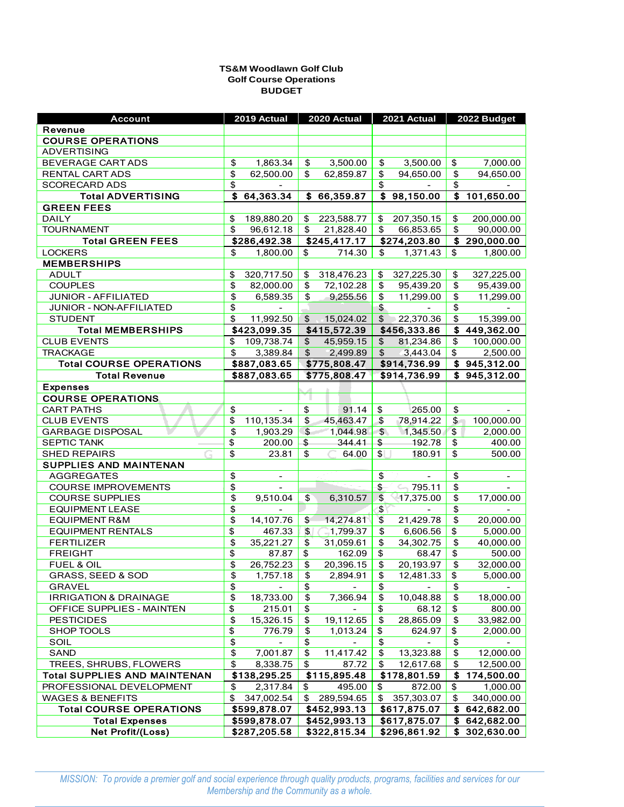#### **BUDGET Golf Course Operations TS&M Woodlawn Golf Club**

| <b>Account</b>                      | 2019 Actual                          | 2020 Actual                            | 2021 Actual             | 2022 Budget                    |
|-------------------------------------|--------------------------------------|----------------------------------------|-------------------------|--------------------------------|
| Revenue                             |                                      |                                        |                         |                                |
| <b>COURSE OPERATIONS</b>            |                                      |                                        |                         |                                |
| <b>ADVERTISING</b>                  |                                      |                                        |                         |                                |
| BEVERAGE CART ADS                   | \$                                   | 3,500.00                               | \$                      | 7,000.00                       |
|                                     | 1,863.34                             | \$                                     | 3,500.00                | \$                             |
| RENTAL CART ADS                     | $\overline{\$}$                      | \$                                     | $\overline{\$}$         | $\overline{\$}$                |
|                                     | 62,500.00                            | 62,859.87                              | 94,650.00               | 94,650.00                      |
| <b>SCORECARD ADS</b>                | \$                                   |                                        | \$                      | \$                             |
| <b>Total ADVERTISING</b>            | $\overline{\mathbf{S}}$<br>64,363.34 | \$66,359.87                            | \$98,150.00             | \$101,650.00                   |
| <b>GREEN FEES</b>                   |                                      |                                        |                         |                                |
| <b>DAILY</b>                        | \$                                   | 223,588.77                             | \$                      | \$                             |
|                                     | 189,880.20                           | \$                                     | 207,350.15              | 200,000.00                     |
| <b>TOURNAMENT</b>                   | \$                                   | 21,828.40                              | \$                      | \$                             |
|                                     | 96,612.18                            | \$                                     | 66,853.65               | 90,000.00                      |
| <b>Total GREEN FEES</b>             | \$286,492.38                         | \$245,417.17                           | \$274,203.80            | $\frac{1}{2}$ 290,000.00       |
| <b>LOCKERS</b>                      | \$                                   | 714.30                                 | 1,371.43                | \$                             |
|                                     | 1,800.00                             | \$                                     | \$                      | 1,800.00                       |
| <b>MEMBERSHIPS</b>                  |                                      |                                        |                         |                                |
| <b>ADULT</b>                        | \$                                   | 318,476.23                             | 327,225.30              | \$                             |
|                                     | 320,717.50                           | \$                                     | \$                      | 327,225.00                     |
| <b>COUPLES</b>                      | \$                                   | \$                                     | \$                      | \$                             |
|                                     | 82,000.00                            | 72,102.28                              | 95,439.20               | 95,439.00                      |
| JUNIOR - AFFILIATED                 | $\overline{\mathcal{L}}$             | \$                                     | \$                      | \$                             |
|                                     | 6,589.35                             | 9,255.56                               | 11,299.00               | 11,299.00                      |
| JUNIOR - NON-AFFILIATED             | $\overline{\$}$                      |                                        | $\overline{\$}$         | $\overline{\$}$                |
|                                     | \$                                   |                                        |                         | \$                             |
| <b>STUDENT</b>                      | 11,992.50                            | 15,024.02<br>$\boldsymbol{\mathsf{s}}$ | \$<br>22,370.36         | 15,399.00<br>\$                |
| <b>Total MEMBERSHIPS</b>            | \$423,099.35                         | \$415,572.39                           | \$456,333.86            | 449,362.00                     |
| <b>CLUB EVENTS</b>                  | 109,738.74                           | 45,959.15                              | 81,234.86               | \$                             |
|                                     | \$                                   | \$                                     | \$                      | 100,000.00                     |
| <b>TRACKAGE</b>                     | \$                                   | 2,499.89                               | \$                      | \$                             |
|                                     | 3,389.84                             | \$                                     | 3,443.04                | 2,500.00                       |
| <b>Total COURSE OPERATIONS</b>      | \$887,083.65                         | \$775,808.47                           | \$914,736.99            | \$945,312.00                   |
| <b>Total Revenue</b>                | \$887,083.65                         | \$775,808.47                           | \$914,736.99            | \$945,312.00                   |
| <b>Expenses</b>                     |                                      |                                        |                         |                                |
| <b>COURSE OPERATIONS</b>            |                                      |                                        |                         |                                |
| <b>CART PATHS</b>                   | \$                                   | \$                                     | \$                      | \$                             |
|                                     | $\mathcal{L}_{\mathcal{A}}$          | 91.14                                  | 265.00                  | $\blacksquare$                 |
| <b>CLUB EVENTS</b>                  | \$                                   | \$                                     | \$                      | $\mathsf{S}^-$                 |
|                                     | 110,135.34                           | 45,463.47                              | 78,914.22               | 100,000.00                     |
| <b>GARBAGE DISPOSAL</b>             | $\overline{\mathcal{L}}$             | \$                                     | $\frac{3}{2}$           | \$                             |
|                                     | 1,903.29                             | 1,044.98                               | 1,345.50                | 2,000.00                       |
| <b>SEPTIC TANK</b>                  | \$                                   | \$                                     | \$                      | \$                             |
|                                     | 200.00                               | 344.41                                 | 192.78                  | 400.00                         |
| <b>SHED REPAIRS</b>                 | \$                                   | \$                                     | \$                      | \$                             |
|                                     | 23.81                                | 64.00                                  | 180.91                  | 500.00                         |
| <b>SUPPLIES AND MAINTENAN</b>       |                                      |                                        |                         |                                |
| <b>AGGREGATES</b>                   | \$<br>$\overline{\phantom{a}}$       |                                        | \$                      | \$<br>$\overline{\phantom{a}}$ |
| <b>COURSE IMPROVEMENTS</b>          | \$                                   |                                        | \$<br>$\sim$ 795.11     | \$                             |
| <b>COURSE SUPPLIES</b>              | $\overline{\$}$                      | $\mathfrak{s}$                         | $\frac{1}{2}$           | $\overline{\mathfrak{s}}$      |
|                                     | 9,510.04                             | 6,310.57                               | 17,375.00               | 17,000.00                      |
| <b>EQUIPMENT LEASE</b>              | \$                                   |                                        | $\overline{\mathbf{3}}$ | $\overline{\$}$                |
| <b>EQUIPMENT R&amp;M</b>            | \$                                   | \$                                     | $\overline{\$}$         | $\overline{\$}$                |
|                                     | 14,107.76                            | 14,274.81                              | 21,429.78               | 20,000.00                      |
| <b>EQUIPMENT RENTALS</b>            | \$                                   | \$                                     | \$                      | \$                             |
|                                     | 467.33                               | $-1,799.37$                            | 6,606.56                | 5,000.00                       |
| <b>FERTILIZER</b>                   | \$                                   | 31,059.61                              | \$                      | \$                             |
|                                     | 35,221.27                            | \$                                     | 34,302.75               | 40,000.00                      |
| <b>FREIGHT</b>                      | \$                                   | \$                                     | \$                      | \$                             |
|                                     | 87.87                                | 162.09                                 | 68.47                   | 500.00                         |
| FUEL & OIL                          | $\overline{\$}$                      | \$                                     | \$                      | $\overline{\$}$                |
|                                     | 26,752.23                            | 20,396.15                              | 20,193.97               | 32,000.00                      |
| GRASS, SEED & SOD                   | \$                                   | \$                                     | \$                      | \$                             |
|                                     | 1,757.18                             | 2,894.91                               | 12,481.33               | 5,000.00                       |
| <b>GRAVEL</b>                       | \$                                   | \$                                     | \$                      | \$                             |
| <b>IRRIGATION &amp; DRAINAGE</b>    | \$                                   | \$                                     | \$                      | \$                             |
|                                     | 18,733.00                            | 7,366.94                               | 10,048.88               | 18,000.00                      |
| OFFICE SUPPLIES - MAINTEN           | $\overline{\$}$<br>215.01            | \$                                     | \$<br>68.12             | \$<br>800.00                   |
| <b>PESTICIDES</b>                   | \$                                   | \$                                     | \$                      | \$                             |
|                                     | 15,326.15                            | 19,112.65                              | 28,865.09               | 33,982.00                      |
| SHOP TOOLS                          | $\overline{\mathfrak{s}}$            | \$                                     | \$                      | \$                             |
|                                     | 776.79                               | 1,013.24                               | 624.97                  | 2,000.00                       |
| SOIL                                | \$<br>$\overline{a}$                 | \$                                     | \$                      | \$                             |
| <b>SAND</b>                         | \$                                   | \$                                     | \$                      | \$                             |
|                                     | 7,001.87                             | 11,417.42                              | 13,323.88               | 12,000.00                      |
| TREES, SHRUBS, FLOWERS              | \$                                   | \$                                     | \$                      | \$                             |
|                                     | 8,338.75                             | 87.72                                  | 12,617.68               | 12,500.00                      |
| <b>Total SUPPLIES AND MAINTENAN</b> | \$138,295.25                         | \$115,895.48                           | \$178,801.59            | S<br>174,500.00                |
| PROFESSIONAL DEVELOPMENT            | \$                                   | \$                                     | \$                      | \$                             |
|                                     | 2,317.84                             | 495.00                                 | 872.00                  | 1,000.00                       |
| <b>WAGES &amp; BENEFITS</b>         | \$                                   | \$                                     | \$                      | \$                             |
|                                     | 347,002.54                           | 289,594.65                             | 357,303.07              | 340,000.00                     |
| <b>Total COURSE OPERATIONS</b>      | \$599,878.07                         | \$452,993.13                           | \$617,875.07            | \$<br>642,682.00               |
| <b>Total Expenses</b>               | \$599,878.07                         | \$452,993.13                           | \$617,875.07            | \$<br>642,682.00               |
| <b>Net Profit/(Loss)</b>            | \$287,205.58                         | \$322,815.34                           | \$296,861.92            | \$302,630.00                   |
|                                     |                                      |                                        |                         |                                |

*MISSION: To provide a premier golf and social experience through quality products, programs, facilities and services for our Membership and the Community as a whole.*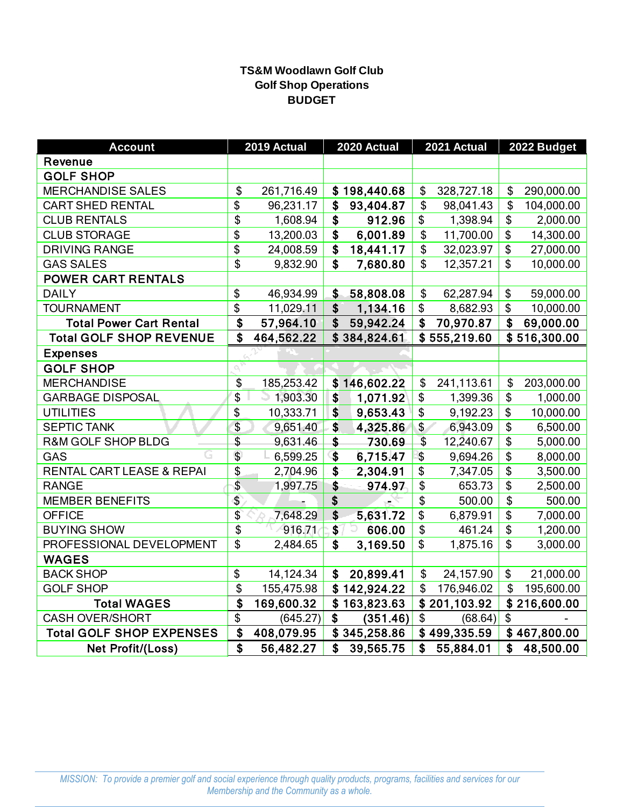# **TS&M Woodlawn Golf Club Golf Shop Operations BUDGET**

| <b>Account</b>                  |                          | 2019 Actual | 2020 Actual     |                           | 2021 Actual  |                 | 2022 Budget  |
|---------------------------------|--------------------------|-------------|-----------------|---------------------------|--------------|-----------------|--------------|
| Revenue                         |                          |             |                 |                           |              |                 |              |
| <b>GOLF SHOP</b>                |                          |             |                 |                           |              |                 |              |
| <b>MERCHANDISE SALES</b>        | \$                       | 261,716.49  | \$198,440.68    | \$                        | 328,727.18   | \$              | 290,000.00   |
| <b>CART SHED RENTAL</b>         | \$                       | 96,231.17   | \$<br>93,404.87 | \$                        | 98,041.43    | \$              | 104,000.00   |
| <b>CLUB RENTALS</b>             | \$                       | 1,608.94    | \$<br>912.96    | \$                        | 1,398.94     | \$              | 2,000.00     |
| <b>CLUB STORAGE</b>             | \$                       | 13,200.03   | \$<br>6,001.89  | \$                        | 11,700.00    | \$              | 14,300.00    |
| <b>DRIVING RANGE</b>            | \$                       | 24,008.59   | \$<br>18,441.17 | \$                        | 32,023.97    | \$              | 27,000.00    |
| <b>GAS SALES</b>                | \$                       | 9,832.90    | \$<br>7,680.80  | \$                        | 12,357.21    | \$              | 10,000.00    |
| <b>POWER CART RENTALS</b>       |                          |             |                 |                           |              |                 |              |
| <b>DAILY</b>                    | \$                       | 46,934.99   | \$<br>58,808.08 | \$                        | 62,287.94    | \$              | 59,000.00    |
| <b>TOURNAMENT</b>               | $\overline{\mathcal{S}}$ | 11,029.11   | \$<br>1,134.16  | \$                        | 8,682.93     | \$              | 10,000.00    |
| <b>Total Power Cart Rental</b>  | \$                       | 57,964.10   | \$<br>59,942.24 | \$                        | 70,970.87    | \$              | 69,000.00    |
| <b>Total GOLF SHOP REVENUE</b>  | \$                       | 464,562.22  | \$384,824.61    |                           | \$555,219.60 |                 | \$516,300.00 |
| <b>Expenses</b>                 |                          |             |                 |                           |              |                 |              |
| <b>GOLF SHOP</b>                |                          |             |                 |                           |              |                 |              |
| <b>MERCHANDISE</b>              | \$                       | 185,253.42  | \$146,602.22    | \$                        | 241,113.61   | \$              | 203,000.00   |
| <b>GARBAGE DISPOSAL</b>         | \$                       | $-1,903.30$ | \$<br>1,071.92  | \$                        | 1,399.36     | \$              | 1,000.00     |
| <b>UTILITIES</b>                | \$                       | 10,333.71   | \$<br>9,653.43  | \$                        | 9,192.23     | \$              | 10,000.00    |
| <b>SEPTIC TANK</b>              | \$                       | 9,651.40    | \$<br>4,325.86  | \$                        | 6,943.09     | \$              | 6,500.00     |
| <b>R&amp;M GOLF SHOP BLDG</b>   | \$                       | 9,631.46    | \$<br>730.69    | \$                        | 12,240.67    | \$              | 5,000.00     |
| GAS                             | $\overline{\mathcal{S}}$ | 6,599.25    | \$<br>6,715.47  | $\boldsymbol{\mathsf{S}}$ | 9,694.26     | \$              | 8,000.00     |
| RENTAL CART LEASE & REPAI       | \$                       | 2,704.96    | \$<br>2,304.91  | \$                        | 7,347.05     | \$              | 3,500.00     |
| <b>RANGE</b>                    | \$                       | 1,997.75    | \$<br>974.97    | \$                        | 653.73       | \$              | 2,500.00     |
| <b>MEMBER BENEFITS</b>          | $\overline{\$}$          |             | \$              | \$                        | 500.00       | $\overline{\$}$ | 500.00       |
| <b>OFFICE</b>                   | $\overline{\$}$          | 7,648.29    | \$<br>5,631.72  | \$                        | 6,879.91     | \$              | 7,000.00     |
| <b>BUYING SHOW</b>              | \$                       | 916.71      | \$<br>606.00    | \$                        | 461.24       | \$              | 1,200.00     |
| PROFESSIONAL DEVELOPMENT        | \$                       | 2,484.65    | \$<br>3,169.50  | \$                        | 1,875.16     | \$              | 3,000.00     |
| <b>WAGES</b>                    |                          |             |                 |                           |              |                 |              |
| <b>BACK SHOP</b>                | \$                       | 14,124.34   | \$<br>20,899.41 | \$                        | 24,157.90    | \$              | 21,000.00    |
| <b>GOLF SHOP</b>                | \$                       | 155,475.98  | \$142,924.22    | \$                        | 176,946.02   | \$              | 195,600.00   |
| <b>Total WAGES</b>              | \$                       | 169,600.32  | \$163,823.63    |                           | \$201,103.92 |                 | \$216,600.00 |
| <b>CASH OVER/SHORT</b>          | \$                       | (645.27)    | \$<br>(351.46)  | \$                        | (68.64)      | \$              |              |
| <b>Total GOLF SHOP EXPENSES</b> | \$                       | 408,079.95  | \$345,258.86    |                           | \$499,335.59 |                 | \$467,800.00 |
| Net Profit/(Loss)               | \$                       | 56,482.27   | \$<br>39,565.75 | \$                        | 55,884.01    | \$              | 48,500.00    |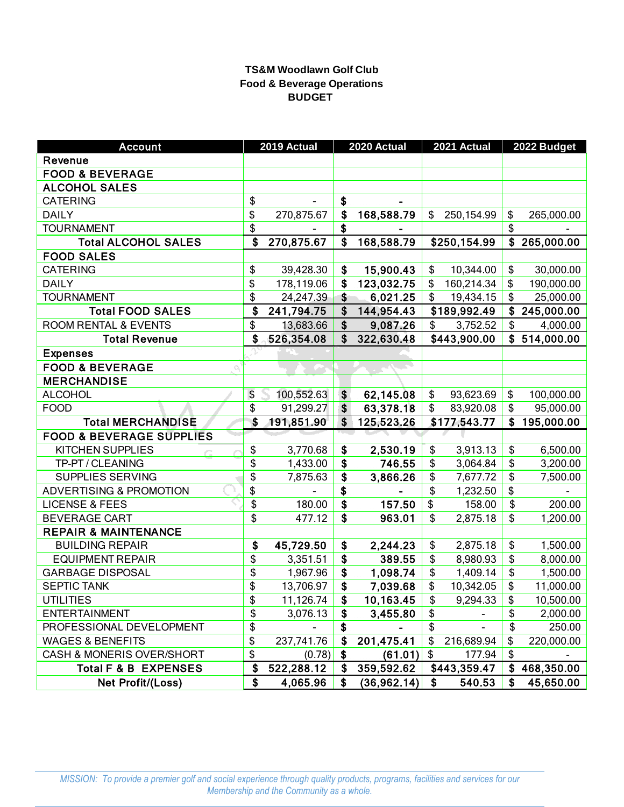# **TS&M Woodlawn Golf Club Food & Beverage Operations BUDGET**

| <b>Account</b>                      |                 | 2019 Actual |                           | 2020 Actual |                          | 2021 Actual  | 2022 Budget      |
|-------------------------------------|-----------------|-------------|---------------------------|-------------|--------------------------|--------------|------------------|
| Revenue                             |                 |             |                           |             |                          |              |                  |
| <b>FOOD &amp; BEVERAGE</b>          |                 |             |                           |             |                          |              |                  |
| <b>ALCOHOL SALES</b>                |                 |             |                           |             |                          |              |                  |
| <b>CATERING</b>                     | \$              |             | \$                        |             |                          |              |                  |
| <b>DAILY</b>                        | $\overline{\$}$ | 270,875.67  | \$                        | 168,588.79  | \$                       | 250,154.99   | \$<br>265,000.00 |
| <b>TOURNAMENT</b>                   | \$              |             | \$                        |             |                          |              | \$               |
| <b>Total ALCOHOL SALES</b>          | \$              | 270,875.67  | \$                        | 168,588.79  |                          | \$250,154.99 | \$<br>265,000.00 |
| <b>FOOD SALES</b>                   |                 |             |                           |             |                          |              |                  |
| <b>CATERING</b>                     | \$              | 39,428.30   | \$                        | 15,900.43   | \$                       | 10,344.00    | \$<br>30,000.00  |
| <b>DAILY</b>                        | \$              | 178,119.06  | \$                        | 123,032.75  | \$                       | 160,214.34   | \$<br>190,000.00 |
| <b>TOURNAMENT</b>                   | \$              | 24,247.39   | $\boldsymbol{\hat{s}}$    | 6,021.25    | \$                       | 19,434.15    | \$<br>25,000.00  |
| <b>Total FOOD SALES</b>             | \$              | 241,794.75  | \$                        | 144,954.43  |                          | \$189,992.49 | \$<br>245,000.00 |
| <b>ROOM RENTAL &amp; EVENTS</b>     | \$              | 13,683.66   | $\boldsymbol{\hat{s}}$    | 9,087.26    | \$                       | 3,752.52     | \$<br>4,000.00   |
| <b>Total Revenue</b>                | \$              | 526,354.08  | \$                        | 322,630.48  |                          | \$443,900.00 | \$<br>514,000.00 |
| <b>Expenses</b>                     |                 |             |                           |             |                          |              |                  |
| <b>FOOD &amp; BEVERAGE</b>          |                 |             |                           |             |                          |              |                  |
| <b>MERCHANDISE</b>                  |                 |             |                           |             |                          |              |                  |
| <b>ALCOHOL</b>                      | \$              | 100,552.63  | \$                        | 62,145.08   | \$                       | 93,623.69    | \$<br>100,000.00 |
| <b>FOOD</b>                         | \$              | 91,299.27   | \$                        | 63,378.18   | \$                       | 83,920.08    | \$<br>95,000.00  |
| <b>Total MERCHANDISE</b>            | \$              | 191,851.90  | \$                        | 125,523.26  |                          | \$177,543.77 | \$<br>195,000.00 |
| <b>FOOD &amp; BEVERAGE SUPPLIES</b> |                 |             |                           |             |                          |              |                  |
| <b>KITCHEN SUPPLIES</b>             | \$              | 3,770.68    | $\boldsymbol{\mathsf{s}}$ | 2,530.19    | $\overline{\mathcal{L}}$ | 3,913.13     | \$<br>6,500.00   |
| TP-PT / CLEANING                    | \$              | 1,433.00    | \$                        | 746.55      | \$                       | 3,064.84     | \$<br>3,200.00   |
| SUPPLIES SERVING                    | \$              | 7,875.63    | \$                        | 3,866.26    | \$                       | 7,677.72     | \$<br>7,500.00   |
| <b>ADVERTISING &amp; PROMOTION</b>  | \$              |             | \$                        |             | \$                       | 1,232.50     | \$               |
| <b>LICENSE &amp; FEES</b>           | \$              | 180.00      | $\overline{\mathbf{S}}$   | 157.50      | \$                       | 158.00       | \$<br>200.00     |
| <b>BEVERAGE CART</b>                | \$              | 477.12      | \$                        | 963.01      | \$                       | 2,875.18     | \$<br>1,200.00   |
| <b>REPAIR &amp; MAINTENANCE</b>     |                 |             |                           |             |                          |              |                  |
| <b>BUILDING REPAIR</b>              | \$              | 45,729.50   | \$                        | 2,244.23    | \$                       | 2,875.18     | \$<br>1,500.00   |
| <b>EQUIPMENT REPAIR</b>             | \$              | 3,351.51    | \$                        | 389.55      | \$                       | 8,980.93     | \$<br>8,000.00   |
| <b>GARBAGE DISPOSAL</b>             | \$              | 1,967.96    | \$                        | 1,098.74    | \$                       | 1,409.14     | \$<br>1,500.00   |
| <b>SEPTIC TANK</b>                  | \$              | 13,706.97   | \$                        | 7,039.68    | \$                       | 10,342.05    | \$<br>11,000.00  |
| <b>UTILITIES</b>                    | \$              | 11,126.74   | \$                        | 10,163.45   | \$                       | 9,294.33     | \$<br>10,500.00  |
| <b>ENTERTAINMENT</b>                | \$              | 3,076.13    | \$                        | 3,455.80    | \$                       |              | \$<br>2,000.00   |
| PROFESSIONAL DEVELOPMENT            | \$              |             | \$                        |             | \$                       |              | \$<br>250.00     |
| <b>WAGES &amp; BENEFITS</b>         | \$              | 237,741.76  | \$                        | 201,475.41  | \$                       | 216,689.94   | \$<br>220,000.00 |
| CASH & MONERIS OVER/SHORT           | \$              | (0.78)      | \$                        | (61.01)     | \$                       | 177.94       | \$               |
| Total F & B EXPENSES                | \$              | 522,288.12  | \$                        | 359,592.62  |                          | \$443,359.47 | \$<br>468,350.00 |
| Net Profit/(Loss)                   | \$              | 4,065.96    | \$                        | (36,962.14) | \$                       | 540.53       | \$<br>45,650.00  |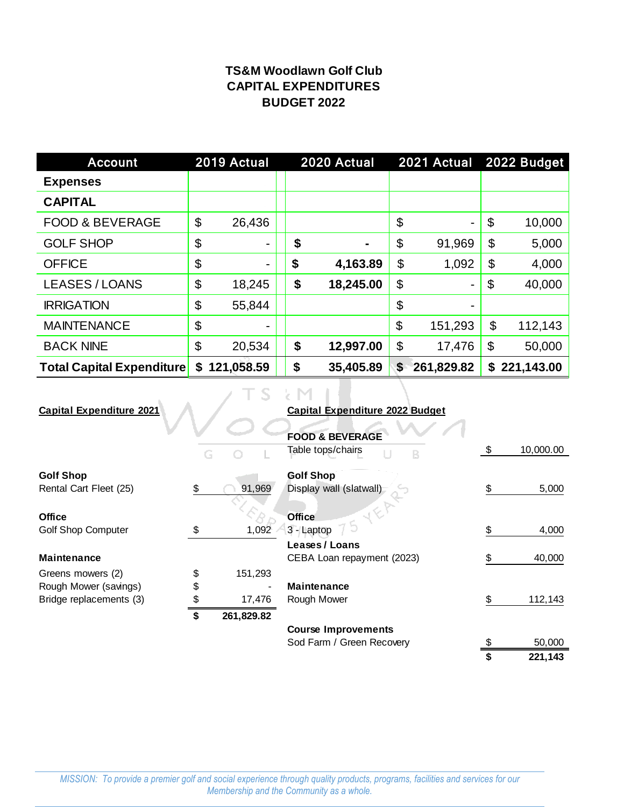# **TS&M Woodlawn Golf Club CAPITAL EXPENDITURES BUDGET 2022**

| <b>Account</b>                   |    | 2019 Actual |  |    | 2020 Actual |    | 2021 Actual              |                           | 2022 Budget  |  |
|----------------------------------|----|-------------|--|----|-------------|----|--------------------------|---------------------------|--------------|--|
| <b>Expenses</b>                  |    |             |  |    |             |    |                          |                           |              |  |
| <b>CAPITAL</b>                   |    |             |  |    |             |    |                          |                           |              |  |
| <b>FOOD &amp; BEVERAGE</b>       | \$ | 26,436      |  |    |             | \$ | $\overline{\phantom{a}}$ | \$                        | 10,000       |  |
| <b>GOLF SHOP</b>                 | \$ |             |  | \$ |             | \$ | 91,969                   | \$                        | 5,000        |  |
| <b>OFFICE</b>                    | \$ |             |  | \$ | 4,163.89    | \$ | 1,092                    | \$                        | 4,000        |  |
| <b>LEASES / LOANS</b>            | \$ | 18,245      |  | \$ | 18,245.00   | \$ | $\blacksquare$           | $\boldsymbol{\mathsf{S}}$ | 40,000       |  |
| <b>IRRIGATION</b>                | \$ | 55,844      |  |    |             | \$ | $\blacksquare$           |                           |              |  |
| <b>MAINTENANCE</b>               | \$ | ۰           |  |    |             | \$ | 151,293                  | \$                        | 112,143      |  |
| <b>BACK NINE</b>                 | \$ | 20,534      |  | \$ | 12,997.00   | \$ | 17,476                   | \$                        | 50,000       |  |
| <b>Total Capital Expenditure</b> | \$ | 121,058.59  |  | \$ | 35,405.89   | \$ | 261,829.82               |                           | \$221,143.00 |  |
|                                  |    |             |  |    |             |    |                          |                           |              |  |

| <b>Capital Expenditure 2021</b> |                  | <b>Capital Expenditure 2022 Budget</b> |     |           |
|---------------------------------|------------------|----------------------------------------|-----|-----------|
|                                 |                  |                                        |     |           |
|                                 |                  | <b>FOOD &amp; BEVERAGE</b>             |     |           |
|                                 |                  | Table tops/chairs                      | S   | 10,000.00 |
| <b>Golf Shop</b>                |                  | <b>Golf Shop</b>                       |     |           |
| Rental Cart Fleet (25)          | \$<br>91,969     | Display wall (slatwall)                | \$  | 5,000     |
|                                 |                  |                                        |     |           |
| <b>Office</b>                   |                  | <b>Office</b>                          |     |           |
| <b>Golf Shop Computer</b>       | \$<br>1,092      | 3 - Laptop                             |     | 4,000     |
|                                 |                  | Leases / Loans                         |     |           |
| <b>Maintenance</b>              |                  | CEBA Loan repayment (2023)             | \$. | 40,000    |
| Greens mowers (2)               | \$<br>151,293    |                                        |     |           |
| Rough Mower (savings)           | \$               | <b>Maintenance</b>                     |     |           |
| Bridge replacements (3)         | \$<br>17,476     | Rough Mower                            | \$. | 112,143   |
|                                 | \$<br>261,829.82 |                                        |     |           |
|                                 |                  | <b>Course Improvements</b>             |     |           |
|                                 |                  | Sod Farm / Green Recovery              | \$  | 50,000    |

 $\overline{\text{ }3 \qquad \qquad 221,143}$